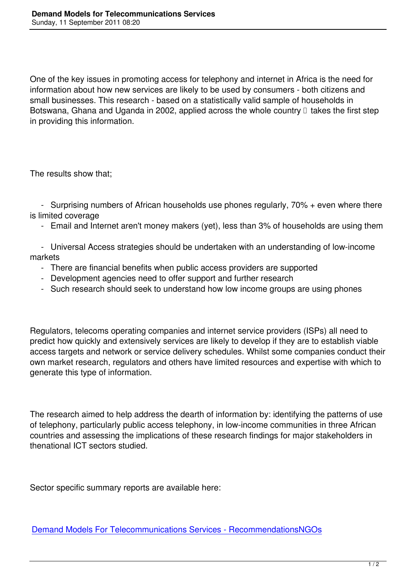One of the key issues in promoting access for telephony and internet in Africa is the need for information about how new services are likely to be used by consumers - both citizens and small businesses. This research - based on a statistically valid sample of households in Botswana, Ghana and Uganda in 2002, applied across the whole country  $\Box$  takes the first step in providing this information.

The results show that;

 - Surprising numbers of African households use phones regularly, 70% + even where there is limited coverage

- Email and Internet aren't money makers (yet), less than 3% of households are using them
- Universal Access strategies should be undertaken with an understanding of low-income markets
	- There are financial benefits when public access providers are supported
	- Development agencies need to offer support and further research
	- Such research should seek to understand how low income groups are using phones

Regulators, telecoms operating companies and internet service providers (ISPs) all need to predict how quickly and extensively services are likely to develop if they are to establish viable access targets and network or service delivery schedules. Whilst some companies conduct their own market research, regulators and others have limited resources and expertise with which to generate this type of information.

The research aimed to help address the dearth of information by: identifying the patterns of use of telephony, particularly public access telephony, in low-income communities in three African countries and assessing the implications of these research findings for major stakeholders in thenational ICT sectors studied.

Sector specific summary reports are available here:

Demand Models For Telecommunications Services - RecommendationsNGOs